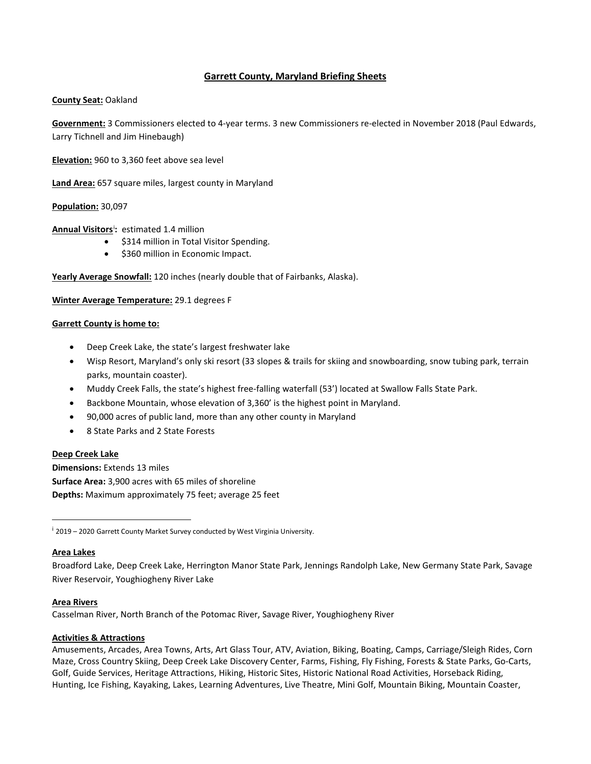# **Garrett County, Maryland Briefing Sheets**

### **County Seat:** Oakland

**Government:** 3 Commissioners elected to 4-year terms. 3 new Commissioners re-elected in November 2018 (Paul Edwards, Larry Tichnell and Jim Hinebaugh)

**Elevation:** 960 to 3,360 feet above sea level

**Land Area:** 657 square miles, largest county in Maryland

### **Population:** 30,097

**Annual Visitors**[i](#page-0-0) **:** estimated 1.4 million

- \$314 million in Total Visitor Spending.
- \$360 million in Economic Impact.

**Yearly Average Snowfall:** 120 inches (nearly double that of Fairbanks, Alaska).

**Winter Average Temperature:** 29.1 degrees F

#### **Garrett County is home to:**

- Deep Creek Lake, the state's largest freshwater lake
- Wisp Resort, Maryland's only ski resort (33 slopes & trails for skiing and snowboarding, snow tubing park, terrain parks, mountain coaster).
- Muddy Creek Falls, the state's highest free-falling waterfall (53') located at Swallow Falls State Park.
- Backbone Mountain, whose elevation of 3,360' is the highest point in Maryland.
- 90,000 acres of public land, more than any other county in Maryland
- 8 State Parks and 2 State Forests

#### **Deep Creek Lake**

**Dimensions:** Extends 13 miles **Surface Area:** 3,900 acres with 65 miles of shoreline **Depths:** Maximum approximately 75 feet; average 25 feet

<span id="page-0-0"></span><sup>i</sup> 2019 – 2020 Garrett County Market Survey conducted by West Virginia University.

#### **Area Lakes**

Broadford Lake, Deep Creek Lake, Herrington Manor State Park, Jennings Randolph Lake, New Germany State Park, Savage River Reservoir, Youghiogheny River Lake

#### **Area Rivers**

Casselman River, North Branch of the Potomac River, Savage River, Youghiogheny River

#### **Activities & Attractions**

Amusements, Arcades, Area Towns, Arts, Art Glass Tour, ATV, Aviation, Biking, Boating, Camps, Carriage/Sleigh Rides, Corn Maze, Cross Country Skiing, Deep Creek Lake Discovery Center, Farms, Fishing, Fly Fishing, Forests & State Parks, Go-Carts, Golf, Guide Services, Heritage Attractions, Hiking, Historic Sites, Historic National Road Activities, Horseback Riding, Hunting, Ice Fishing, Kayaking, Lakes, Learning Adventures, Live Theatre, Mini Golf, Mountain Biking, Mountain Coaster,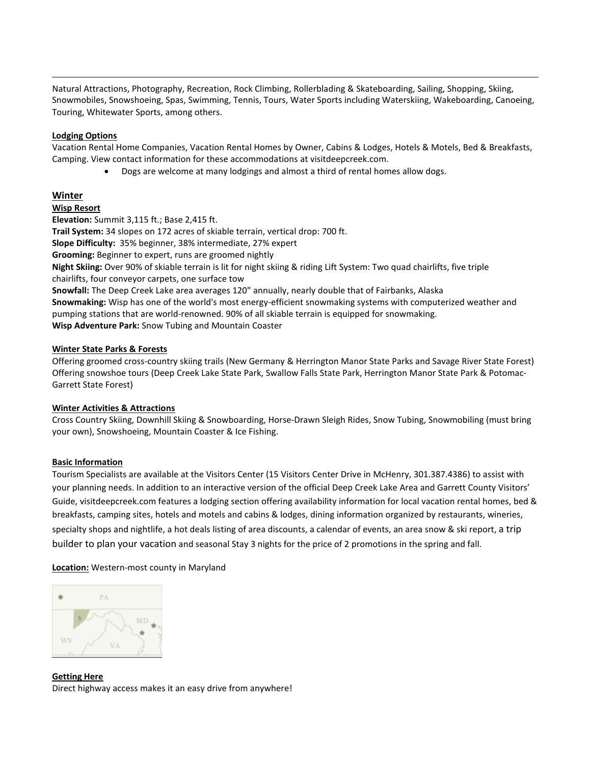Natural Attractions, Photography, Recreation, Rock Climbing, Rollerblading & Skateboarding, Sailing, Shopping, Skiing, Snowmobiles, Snowshoeing, Spas, Swimming, Tennis, Tours, Water Sports including Waterskiing, Wakeboarding, Canoeing, Touring, Whitewater Sports, among others.

### **Lodging Options**

Vacation Rental Home Companies, Vacation Rental Homes by Owner, Cabins & Lodges, Hotels & Motels, Bed & Breakfasts, Camping. View contact information for these accommodations at visitdeepcreek.com.

• Dogs are welcome at many lodgings and almost a third of rental homes allow dogs.

### **Winter**

#### **Wisp Resort**

**Elevation:** Summit 3,115 ft.; Base 2,415 ft. **Trail System:** 34 slopes on 172 acres of skiable terrain, vertical drop: 700 ft. **Slope Difficulty:** 35% beginner, 38% intermediate, 27% expert **Grooming:** Beginner to expert, runs are groomed nightly **Night Skiing:** Over 90% of skiable terrain is lit for night skiing & riding Lift System: Two quad chairlifts, five triple chairlifts, four conveyor carpets, one surface tow **Snowfall:** The Deep Creek Lake area averages 120" annually, nearly double that of Fairbanks, Alaska **Snowmaking:** Wisp has one of the world's most energy-efficient snowmaking systems with computerized weather and pumping stations that are world-renowned. 90% of all skiable terrain is equipped for snowmaking. **Wisp Adventure Park:** Snow Tubing and Mountain Coaster

### **Winter State Parks & Forests**

Offering groomed cross-country skiing trails (New Germany & Herrington Manor State Parks and Savage River State Forest) Offering snowshoe tours (Deep Creek Lake State Park, Swallow Falls State Park, Herrington Manor State Park & Potomac-Garrett State Forest)

#### **Winter Activities & Attractions**

Cross Country Skiing, Downhill Skiing & Snowboarding, Horse-Drawn Sleigh Rides, Snow Tubing, Snowmobiling (must bring your own), Snowshoeing, Mountain Coaster & Ice Fishing.

# **Basic Information**

Tourism Specialists are available at the Visitors Center (15 Visitors Center Drive in McHenry, 301.387.4386) to assist with your planning needs. In addition to an interactive version of the official Deep Creek Lake Area and Garrett County Visitors' Guide, visitdeepcreek.com features a lodging section offering availability information for local vacation rental homes, bed & breakfasts, camping sites, hotels and motels and cabins & lodges, dining information organized by restaurants, wineries, specialty shops and nightlife, a hot deals listing of area discounts, a calendar of events, an area snow & ski report, a trip builder to plan your vacation and seasonal Stay 3 nights for the price of 2 promotions in the spring and fall.

**Location:** Western-most county in Maryland



**Getting Here**  Direct highway access makes it an easy drive from anywhere!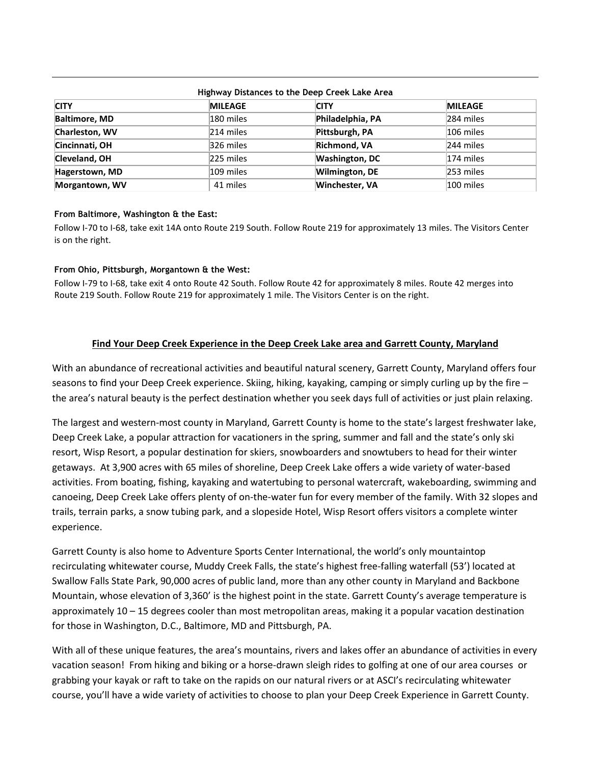| THROWAY DISTRICTS TO THE DEED CLEEK LAKE AT EA |                |                       |                |
|------------------------------------------------|----------------|-----------------------|----------------|
| <b>CITY</b>                                    | <b>MILEAGE</b> | <b>CITY</b>           | <b>MILEAGE</b> |
| <b>Baltimore, MD</b>                           | 180 miles      | Philadelphia, PA      | 284 miles      |
| Charleston, WV                                 | 214 miles      | Pittsburgh, PA        | 106 miles      |
| Cincinnati, OH                                 | 326 miles      | <b>Richmond, VA</b>   | 244 miles      |
| Cleveland, OH                                  | 225 miles      | <b>Washington, DC</b> | 174 miles      |
| <b>Hagerstown, MD</b>                          | 109 miles      | Wilmington, DE        | 253 miles      |
| Morgantown, WV                                 | 41 miles       | Winchester, VA        | 100 miles      |

# **Highway Distances to the Deep Creek Lake Area**

### **From Baltimore, Washington & the East:**

Follow I-70 to I-68, take exit 14A onto Route 219 South. Follow Route 219 for approximately 13 miles. The Visitors Center is on the right.

### **From Ohio, Pittsburgh, Morgantown & the West:**

Follow I-79 to I-68, take exit 4 onto Route 42 South. Follow Route 42 for approximately 8 miles. Route 42 merges into Route 219 South. Follow Route 219 for approximately 1 mile. The Visitors Center is on the right.

# **Find Your Deep Creek Experience in the Deep Creek Lake area and Garrett County, Maryland**

With an abundance of recreational activities and beautiful natural scenery, Garrett County, Maryland offers four seasons to find your Deep Creek experience. Skiing, hiking, kayaking, camping or simply curling up by the fire – the area's natural beauty is the perfect destination whether you seek days full of activities or just plain relaxing.

The largest and western-most county in Maryland, Garrett County is home to the state's largest freshwater lake, Deep Creek Lake, a popular attraction for vacationers in the spring, summer and fall and the state's only ski resort, Wisp Resort, a popular destination for skiers, snowboarders and snowtubers to head for their winter getaways. At 3,900 acres with 65 miles of shoreline, Deep Creek Lake offers a wide variety of water-based activities. From boating, fishing, kayaking and watertubing to personal watercraft, wakeboarding, swimming and canoeing, Deep Creek Lake offers plenty of on-the-water fun for every member of the family. With 32 slopes and trails, terrain parks, a snow tubing park, and a slopeside Hotel, Wisp Resort offers visitors a complete winter experience.

Garrett County is also home to Adventure Sports Center International, the world's only mountaintop recirculating whitewater course, Muddy Creek Falls, the state's highest free-falling waterfall (53') located at Swallow Falls State Park, 90,000 acres of public land, more than any other county in Maryland and Backbone Mountain, whose elevation of 3,360' is the highest point in the state. Garrett County's average temperature is approximately 10 – 15 degrees cooler than most metropolitan areas, making it a popular vacation destination for those in Washington, D.C., Baltimore, MD and Pittsburgh, PA.

With all of these unique features, the area's mountains, rivers and lakes offer an abundance of activities in every vacation season! From hiking and biking or a horse-drawn sleigh rides to golfing at one of our area courses or grabbing your kayak or raft to take on the rapids on our natural rivers or at ASCI's recirculating whitewater course, you'll have a wide variety of activities to choose to plan your Deep Creek Experience in Garrett County.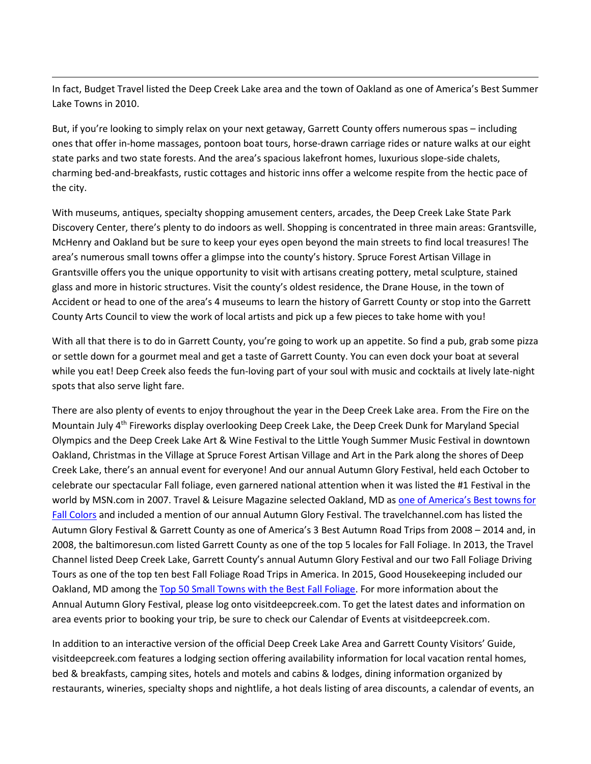In fact, Budget Travel listed the Deep Creek Lake area and the town of Oakland as one of America's Best Summer Lake Towns in 2010.

But, if you're looking to simply relax on your next getaway, Garrett County offers numerous spas – including ones that offer in-home massages, pontoon boat tours, horse-drawn carriage rides or nature walks at our eight state parks and two state forests. And the area's spacious lakefront homes, luxurious slope-side chalets, charming bed-and-breakfasts, rustic cottages and historic inns offer a welcome respite from the hectic pace of the city.

With museums, antiques, specialty shopping amusement centers, arcades, the Deep Creek Lake State Park Discovery Center, there's plenty to do indoors as well. Shopping is concentrated in three main areas: Grantsville, McHenry and Oakland but be sure to keep your eyes open beyond the main streets to find local treasures! The area's numerous small towns offer a glimpse into the county's history. Spruce Forest Artisan Village in Grantsville offers you the unique opportunity to visit with artisans creating pottery, metal sculpture, stained glass and more in historic structures. Visit the county's oldest residence, the Drane House, in the town of Accident or head to one of the area's 4 museums to learn the history of Garrett County or stop into the Garrett County Arts Council to view the work of local artists and pick up a few pieces to take home with you!

With all that there is to do in Garrett County, you're going to work up an appetite. So find a pub, grab some pizza or settle down for a gourmet meal and get a taste of Garrett County. You can even dock your boat at several while you eat! Deep Creek also feeds the fun-loving part of your soul with music and cocktails at lively late-night spots that also serve light fare.

There are also plenty of events to enjoy throughout the year in the Deep Creek Lake area. From the Fire on the Mountain July 4th Fireworks display overlooking Deep Creek Lake, the Deep Creek Dunk for Maryland Special Olympics and the Deep Creek Lake Art & Wine Festival to the Little Yough Summer Music Festival in downtown Oakland, Christmas in the Village at Spruce Forest Artisan Village and Art in the Park along the shores of Deep Creek Lake, there's an annual event for everyone! And our annual Autumn Glory Festival, held each October to celebrate our spectacular Fall foliage, even garnered national attention when it was listed the #1 Festival in the world by MSN.com in 2007. Travel & Leisure Magazine selected Oakland, MD as [one of America's Best towns for](http://www.travelandleisure.com/slideshows/americas-best-towns-for-fall-colors/3)  [Fall Colors](http://www.travelandleisure.com/slideshows/americas-best-towns-for-fall-colors/3) and included a mention of our annual Autumn Glory Festival. The travelchannel.com has listed the Autumn Glory Festival & Garrett County as one of America's 3 Best Autumn Road Trips from 2008 – 2014 and, in 2008, the baltimoresun.com listed Garrett County as one of the top 5 locales for Fall Foliage. In 2013, the Travel Channel listed Deep Creek Lake, Garrett County's annual Autumn Glory Festival and our two Fall Foliage Driving Tours as one of the top ten best Fall Foliage Road Trips in America. In 2015, Good Housekeeping included our Oakland, MD among th[e Top 50 Small Towns with the Best](http://www.goodhousekeeping.com/life/travel/g2710/best-leaf-peeping-in-america/?slide=15) Fall Foliage. For more information about the Annual Autumn Glory Festival, please log onto visitdeepcreek.com. To get the latest dates and information on area events prior to booking your trip, be sure to check our Calendar of Events at visitdeepcreek.com.

In addition to an interactive version of the official Deep Creek Lake Area and Garrett County Visitors' Guide, visitdeepcreek.com features a lodging section offering availability information for local vacation rental homes, bed & breakfasts, camping sites, hotels and motels and cabins & lodges, dining information organized by restaurants, wineries, specialty shops and nightlife, a hot deals listing of area discounts, a calendar of events, an